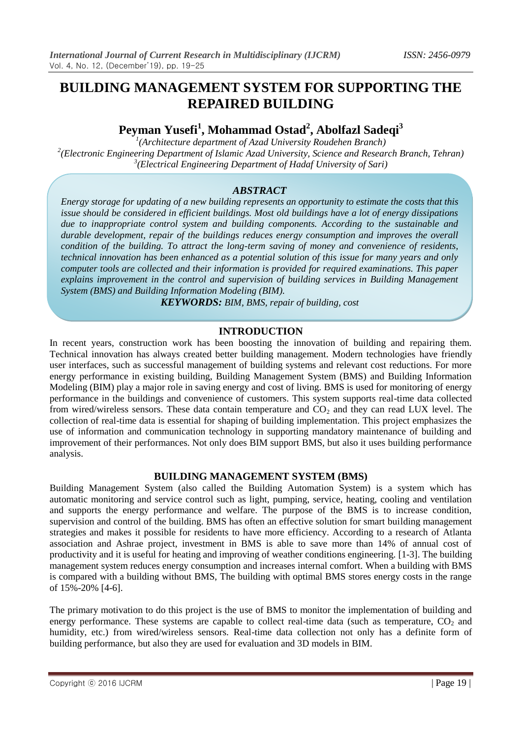# **BUILDING MANAGEMENT SYSTEM FOR SUPPORTING THE REPAIRED BUILDING**

# **Peyman Yusefi<sup>1</sup> , Mohammad Ostad<sup>2</sup> , Abolfazl Sadeqi<sup>3</sup>**

*1 (Architecture department of Azad University Roudehen Branch) 2 (Electronic Engineering Department of Islamic Azad University, Science and Research Branch, Tehran) 3 (Electrical Engineering Department of Hadaf University of Sari)* 

## *ABSTRACT*

*Energy storage for updating of a new building represents an opportunity to estimate the costs that this issue should be considered in efficient buildings. Most old buildings have a lot of energy dissipations due to inappropriate control system and building components. According to the sustainable and durable development, repair of the buildings reduces energy consumption and improves the overall condition of the building. To attract the long-term saving of money and convenience of residents, technical innovation has been enhanced as a potential solution of this issue for many years and only computer tools are collected and their information is provided for required examinations. This paper explains improvement in the control and supervision of building services in Building Management System (BMS) and Building Information Modeling (BIM).*

*KEYWORDS: BIM, BMS, repair of building, cost*

## **INTRODUCTION**

In recent years, construction work has been boosting the innovation of building and repairing them. Technical innovation has always created better building management. Modern technologies have friendly user interfaces, such as successful management of building systems and relevant cost reductions. For more energy performance in existing building, Building Management System (BMS) and Building Information Modeling (BIM) play a major role in saving energy and cost of living. BMS is used for monitoring of energy performance in the buildings and convenience of customers. This system supports real-time data collected from wired/wireless sensors. These data contain temperature and  $CO<sub>2</sub>$  and they can read LUX level. The collection of real-time data is essential for shaping of building implementation. This project emphasizes the use of information and communication technology in supporting mandatory maintenance of building and improvement of their performances. Not only does BIM support BMS, but also it uses building performance analysis.

## **BUILDING MANAGEMENT SYSTEM (BMS)**

Building Management System (also called the Building Automation System) is a system which has automatic monitoring and service control such as light, pumping, service, heating, cooling and ventilation and supports the energy performance and welfare. The purpose of the BMS is to increase condition, supervision and control of the building. BMS has often an effective solution for smart building management strategies and makes it possible for residents to have more efficiency. According to a research of Atlanta association and Ashrae project, investment in BMS is able to save more than 14% of annual cost of productivity and it is useful for heating and improving of weather conditions engineering. [1-3]. The building management system reduces energy consumption and increases internal comfort. When a building with BMS is compared with a building without BMS, The building with optimal BMS stores energy costs in the range of 15%-20% [4-6].

The primary motivation to do this project is the use of BMS to monitor the implementation of building and energy performance. These systems are capable to collect real-time data (such as temperature,  $CO<sub>2</sub>$  and humidity, etc.) from wired/wireless sensors. Real-time data collection not only has a definite form of building performance, but also they are used for evaluation and 3D models in BIM.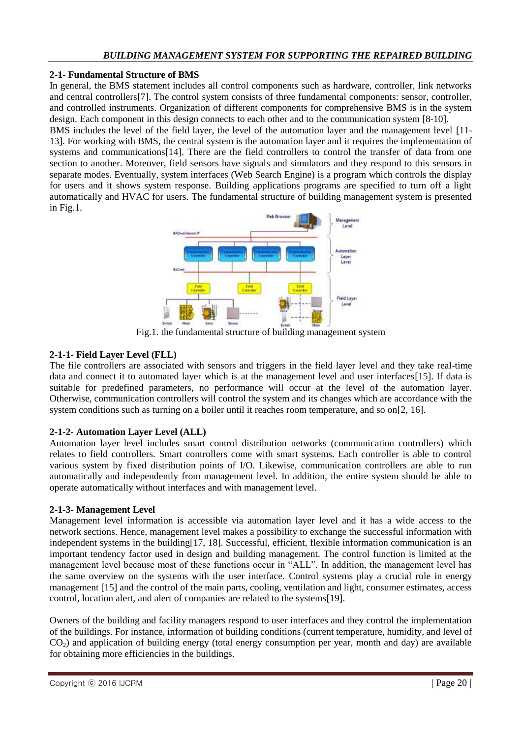#### **2-1- Fundamental Structure of BMS**

In general, the BMS statement includes all control components such as hardware, controller, link networks and central controllers[7]. The control system consists of three fundamental components: sensor, controller, and controlled instruments. Organization of different components for comprehensive BMS is in the system design. Each component in this design connects to each other and to the communication system [8-10].

BMS includes the level of the field layer, the level of the automation layer and the management level [11- 13]. For working with BMS, the central system is the automation layer and it requires the implementation of systems and communications[14]. There are the field controllers to control the transfer of data from one section to another. Moreover, field sensors have signals and simulators and they respond to this sensors in separate modes. Eventually, system interfaces (Web Search Engine) is a program which controls the display for users and it shows system response. Building applications programs are specified to turn off a light automatically and HVAC for users. The fundamental structure of building management system is presented in Fig.1.



Fig.1. the fundamental structure of building management system

### **2-1-1- Field Layer Level (FLL)**

The file controllers are associated with sensors and triggers in the field layer level and they take real-time data and connect it to automated layer which is at the management level and user interfaces[15]. If data is suitable for predefined parameters, no performance will occur at the level of the automation layer. Otherwise, communication controllers will control the system and its changes which are accordance with the system conditions such as turning on a boiler until it reaches room temperature, and so on[2, 16].

## **2-1-2- Automation Layer Level (ALL)**

Automation layer level includes smart control distribution networks (communication controllers) which relates to field controllers. Smart controllers come with smart systems. Each controller is able to control various system by fixed distribution points of I/O. Likewise, communication controllers are able to run automatically and independently from management level. In addition, the entire system should be able to operate automatically without interfaces and with management level.

#### **2-1-3- Management Level**

Management level information is accessible via automation layer level and it has a wide access to the network sections. Hence, management level makes a possibility to exchange the successful information with independent systems in the building[17, 18]. Successful, efficient, flexible information communication is an important tendency factor used in design and building management. The control function is limited at the management level because most of these functions occur in "ALL". In addition, the management level has the same overview on the systems with the user interface. Control systems play a crucial role in energy management [15] and the control of the main parts, cooling, ventilation and light, consumer estimates, access control, location alert, and alert of companies are related to the systems[19].

Owners of the building and facility managers respond to user interfaces and they control the implementation of the buildings. For instance, information of building conditions (current temperature, humidity, and level of  $CO<sub>2</sub>$ ) and application of building energy (total energy consumption per year, month and day) are available for obtaining more efficiencies in the buildings.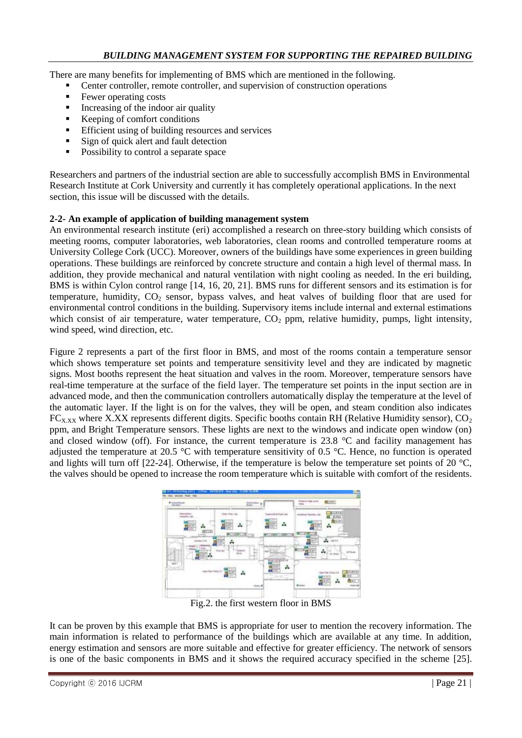There are many benefits for implementing of BMS which are mentioned in the following.

- Center controller, remote controller, and supervision of construction operations
- Fewer operating costs
- Increasing of the indoor air quality
- Keeping of comfort conditions
- **Efficient using of building resources and services**
- Sign of quick alert and fault detection
- Possibility to control a separate space

Researchers and partners of the industrial section are able to successfully accomplish BMS in Environmental Research Institute at Cork University and currently it has completely operational applications. In the next section, this issue will be discussed with the details.

### **2-2- An example of application of building management system**

An environmental research institute (eri) accomplished a research on three-story building which consists of meeting rooms, computer laboratories, web laboratories, clean rooms and controlled temperature rooms at University College Cork (UCC). Moreover, owners of the buildings have some experiences in green building operations. These buildings are reinforced by concrete structure and contain a high level of thermal mass. In addition, they provide mechanical and natural ventilation with night cooling as needed. In the eri building, BMS is within Cylon control range [14, 16, 20, 21]. BMS runs for different sensors and its estimation is for temperature, humidity,  $CO<sub>2</sub>$  sensor, bypass valves, and heat valves of building floor that are used for environmental control conditions in the building. Supervisory items include internal and external estimations which consist of air temperature, water temperature,  $CO<sub>2</sub>$  ppm, relative humidity, pumps, light intensity, wind speed, wind direction, etc.

Figure 2 represents a part of the first floor in BMS, and most of the rooms contain a temperature sensor which shows temperature set points and temperature sensitivity level and they are indicated by magnetic signs. Most booths represent the heat situation and valves in the room. Moreover, temperature sensors have real-time temperature at the surface of the field layer. The temperature set points in the input section are in advanced mode, and then the communication controllers automatically display the temperature at the level of the automatic layer. If the light is on for the valves, they will be open, and steam condition also indicates  $FC_{X,XX}$  where X.XX represents different digits. Specific booths contain RH (Relative Humidity sensor),  $CO_2$ ppm, and Bright Temperature sensors. These lights are next to the windows and indicate open window (on) and closed window (off). For instance, the current temperature is 23.8  $\degree$ C and facility management has adjusted the temperature at 20.5 °C with temperature sensitivity of 0.5 °C. Hence, no function is operated and lights will turn off [22-24]. Otherwise, if the temperature is below the temperature set points of 20  $^{\circ}$ C, the valves should be opened to increase the room temperature which is suitable with comfort of the residents.



Fig.2. the first western floor in BMS

It can be proven by this example that BMS is appropriate for user to mention the recovery information. The main information is related to performance of the buildings which are available at any time. In addition, energy estimation and sensors are more suitable and effective for greater efficiency. The network of sensors is one of the basic components in BMS and it shows the required accuracy specified in the scheme [25].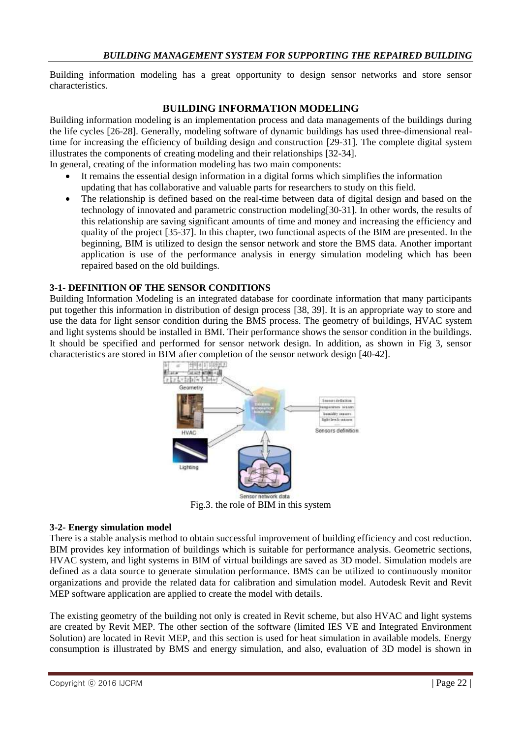Building information modeling has a great opportunity to design sensor networks and store sensor characteristics.

## **BUILDING INFORMATION MODELING**

Building information modeling is an implementation process and data managements of the buildings during the life cycles [26-28]. Generally, modeling software of dynamic buildings has used three-dimensional realtime for increasing the efficiency of building design and construction [29-31]. The complete digital system illustrates the components of creating modeling and their relationships [32-34].

In general, creating of the information modeling has two main components:

- It remains the essential design information in a digital forms which simplifies the information updating that has collaborative and valuable parts for researchers to study on this field.
- The relationship is defined based on the real-time between data of digital design and based on the technology of innovated and parametric construction modeling[30-31]. In other words, the results of this relationship are saving significant amounts of time and money and increasing the efficiency and quality of the project [35-37]. In this chapter, two functional aspects of the BIM are presented. In the beginning, BIM is utilized to design the sensor network and store the BMS data. Another important application is use of the performance analysis in energy simulation modeling which has been repaired based on the old buildings.

#### **3-1- DEFINITION OF THE SENSOR CONDITIONS**

Building Information Modeling is an integrated database for coordinate information that many participants put together this information in distribution of design process [38, 39]. It is an appropriate way to store and use the data for light sensor condition during the BMS process. The geometry of buildings, HVAC system and light systems should be installed in BMI. Their performance shows the sensor condition in the buildings. It should be specified and performed for sensor network design. In addition, as shown in Fig 3, sensor characteristics are stored in BIM after completion of the sensor network design [40-42].



Fig.3. the role of BIM in this system

#### **3-2- Energy simulation model**

There is a stable analysis method to obtain successful improvement of building efficiency and cost reduction. BIM provides key information of buildings which is suitable for performance analysis. Geometric sections, HVAC system, and light systems in BIM of virtual buildings are saved as 3D model. Simulation models are defined as a data source to generate simulation performance. BMS can be utilized to continuously monitor organizations and provide the related data for calibration and simulation model. Autodesk Revit and Revit MEP software application are applied to create the model with details.

The existing geometry of the building not only is created in Revit scheme, but also HVAC and light systems are created by Revit MEP. The other section of the software (limited IES VE and Integrated Environment Solution) are located in Revit MEP, and this section is used for heat simulation in available models. Energy consumption is illustrated by BMS and energy simulation, and also, evaluation of 3D model is shown in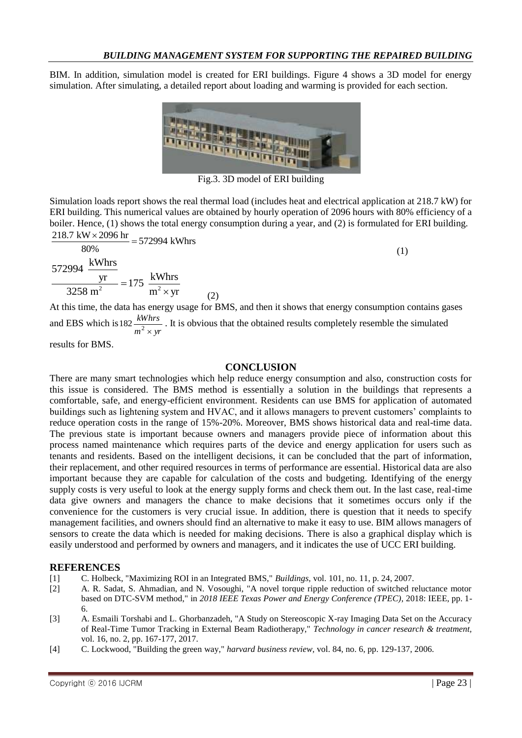BIM. In addition, simulation model is created for ERI buildings. Figure 4 shows a 3D model for energy simulation. After simulating, a detailed report about loading and warming is provided for each section.



Fig.3. 3D model of ERI building

Simulation loads report shows the real thermal load (includes heat and electrical application at 218.7 kW) for ERI building. This numerical values are obtained by hourly operation of 2096 hours with 80% efficiency of a boiler. Hence, (1) shows the total energy consumption during a year, and (2) is formulated for ERI building.<br> $\frac{218.7 \text{ kW} \times 2096 \text{ hr}}{2000 \text{ Hz}} = 572994 \text{ kWhrs}$  $218.7$  kW  $\times$  2096 hr

$$
\frac{216.7 \text{ kW} \times 2090 \text{ m}}{80\%} = 572994 \text{ kWhrs}
$$
\n
$$
\frac{\text{yr}}{3258 \text{ m}^2} = 175 \frac{\text{kWhrs}}{\text{m}^2 \times \text{yr}}
$$
\nAt this time, the data has energy usage for BMS, and then it shows that energy consumption.

has energy usage for BMS, and then it shows that energy consumption contains gases and EBS which is  $m^2 \times yr$ *kWhrs* 182  $\frac{kmm_s}{m^2 \times yr}$ . It is obvious that the obtained results completely resemble the simulated

results for BMS.

#### **CONCLUSION**

There are many smart technologies which help reduce energy consumption and also, construction costs for this issue is considered. The BMS method is essentially a solution in the buildings that represents a comfortable, safe, and energy-efficient environment. Residents can use BMS for application of automated buildings such as lightening system and HVAC, and it allows managers to prevent customers' complaints to reduce operation costs in the range of 15%-20%. Moreover, BMS shows historical data and real-time data. The previous state is important because owners and managers provide piece of information about this process named maintenance which requires parts of the device and energy application for users such as tenants and residents. Based on the intelligent decisions, it can be concluded that the part of information, their replacement, and other required resources in terms of performance are essential. Historical data are also important because they are capable for calculation of the costs and budgeting. Identifying of the energy supply costs is very useful to look at the energy supply forms and check them out. In the last case, real-time data give owners and managers the chance to make decisions that it sometimes occurs only if the convenience for the customers is very crucial issue. In addition, there is question that it needs to specify management facilities, and owners should find an alternative to make it easy to use. BIM allows managers of sensors to create the data which is needed for making decisions. There is also a graphical display which is easily understood and performed by owners and managers, and it indicates the use of UCC ERI building.

#### **REFERENCES**

- [1] C. Holbeck, "Maximizing ROI in an Integrated BMS," *Buildings,* vol. 101, no. 11, p. 24, 2007.
- [2] A. R. Sadat, S. Ahmadian, and N. Vosoughi, "A novel torque ripple reduction of switched reluctance motor based on DTC-SVM method," in *2018 IEEE Texas Power and Energy Conference (TPEC)*, 2018: IEEE, pp. 1- 6.
- [3] A. Esmaili Torshabi and L. Ghorbanzadeh, "A Study on Stereoscopic X-ray Imaging Data Set on the Accuracy of Real-Time Tumor Tracking in External Beam Radiotherapy," *Technology in cancer research & treatment,*  vol. 16, no. 2, pp. 167-177, 2017.
- [4] C. Lockwood, "Building the green way," *harvard business review,* vol. 84, no. 6, pp. 129-137, 2006.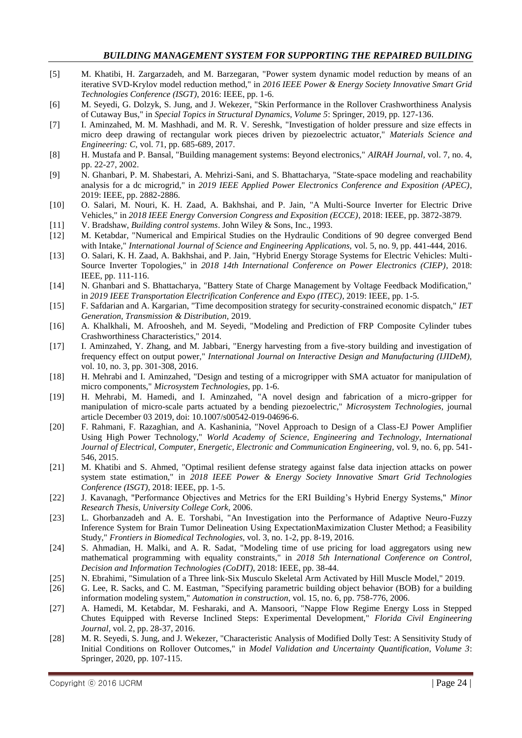#### *BUILDING MANAGEMENT SYSTEM FOR SUPPORTING THE REPAIRED BUILDING*

- [5] M. Khatibi, H. Zargarzadeh, and M. Barzegaran, "Power system dynamic model reduction by means of an iterative SVD-Krylov model reduction method," in *2016 IEEE Power & Energy Society Innovative Smart Grid Technologies Conference (ISGT)*, 2016: IEEE, pp. 1-6.
- [6] M. Seyedi, G. Dolzyk, S. Jung, and J. Wekezer, "Skin Performance in the Rollover Crashworthiness Analysis of Cutaway Bus," in *Special Topics in Structural Dynamics, Volume 5*: Springer, 2019, pp. 127-136.
- [7] I. Aminzahed, M. M. Mashhadi, and M. R. V. Sereshk, "Investigation of holder pressure and size effects in micro deep drawing of rectangular work pieces driven by piezoelectric actuator," *Materials Science and Engineering: C,* vol. 71, pp. 685-689, 2017.
- [8] H. Mustafa and P. Bansal, "Building management systems: Beyond electronics," *AIRAH Journal,* vol. 7, no. 4, pp. 22-27, 2002.
- [9] N. Ghanbari, P. M. Shabestari, A. Mehrizi-Sani, and S. Bhattacharya, "State-space modeling and reachability analysis for a dc microgrid," in *2019 IEEE Applied Power Electronics Conference and Exposition (APEC)*, 2019: IEEE, pp. 2882-2886.
- [10] O. Salari, M. Nouri, K. H. Zaad, A. Bakhshai, and P. Jain, "A Multi-Source Inverter for Electric Drive Vehicles," in *2018 IEEE Energy Conversion Congress and Exposition (ECCE)*, 2018: IEEE, pp. 3872-3879.
- [11] V. Bradshaw, *Building control systems*. John Wiley & Sons, Inc., 1993.
- [12] M. Ketabdar, "Numerical and Empirical Studies on the Hydraulic Conditions of 90 degree converged Bend with Intake," *International Journal of Science and Engineering Applications,* vol. 5, no. 9, pp. 441-444, 2016.
- [13] O. Salari, K. H. Zaad, A. Bakhshai, and P. Jain, "Hybrid Energy Storage Systems for Electric Vehicles: Multi-Source Inverter Topologies," in *2018 14th International Conference on Power Electronics (CIEP)*, 2018: IEEE, pp. 111-116.
- [14] N. Ghanbari and S. Bhattacharya, "Battery State of Charge Management by Voltage Feedback Modification," in *2019 IEEE Transportation Electrification Conference and Expo (ITEC)*, 2019: IEEE, pp. 1-5.
- [15] F. Safdarian and A. Kargarian, "Time decomposition strategy for security-constrained economic dispatch," *IET Generation, Transmission & Distribution,* 2019.
- [16] A. Khalkhali, M. Afroosheh, and M. Seyedi, "Modeling and Prediction of FRP Composite Cylinder tubes Crashworthiness Characteristics," 2014.
- [17] I. Aminzahed, Y. Zhang, and M. Jabbari, "Energy harvesting from a five-story building and investigation of frequency effect on output power," *International Journal on Interactive Design and Manufacturing (IJIDeM),*  vol. 10, no. 3, pp. 301-308, 2016.
- [18] H. Mehrabi and I. Aminzahed, "Design and testing of a microgripper with SMA actuator for manipulation of micro components," *Microsystem Technologies,* pp. 1-6.
- [19] H. Mehrabi, M. Hamedi, and I. Aminzahed, "A novel design and fabrication of a micro-gripper for manipulation of micro-scale parts actuated by a bending piezoelectric," *Microsystem Technologies,* journal article December 03 2019, doi: 10.1007/s00542-019-04696-6.
- [20] F. Rahmani, F. Razaghian, and A. Kashaninia, "Novel Approach to Design of a Class-EJ Power Amplifier Using High Power Technology," *World Academy of Science, Engineering and Technology, International Journal of Electrical, Computer, Energetic, Electronic and Communication Engineering,* vol. 9, no. 6, pp. 541- 546, 2015.
- [21] M. Khatibi and S. Ahmed, "Optimal resilient defense strategy against false data injection attacks on power system state estimation," in *2018 IEEE Power & Energy Society Innovative Smart Grid Technologies Conference (ISGT)*, 2018: IEEE, pp. 1-5.
- [22] J. Kavanagh, "Performance Objectives and Metrics for the ERI Building's Hybrid Energy Systems," *Minor Research Thesis, University College Cork,* 2006.
- [23] L. Ghorbanzadeh and A. E. Torshabi, "An Investigation into the Performance of Adaptive Neuro-Fuzzy Inference System for Brain Tumor Delineation Using ExpectationMaximization Cluster Method; a Feasibility Study," *Frontiers in Biomedical Technologies,* vol. 3, no. 1-2, pp. 8-19, 2016.
- [24] S. Ahmadian, H. Malki, and A. R. Sadat, "Modeling time of use pricing for load aggregators using new mathematical programming with equality constraints," in *2018 5th International Conference on Control, Decision and Information Technologies (CoDIT)*, 2018: IEEE, pp. 38-44.
- [25] N. Ebrahimi, "Simulation of a Three link-Six Musculo Skeletal Arm Activated by Hill Muscle Model," 2019.
- [26] G. Lee, R. Sacks, and C. M. Eastman, "Specifying parametric building object behavior (BOB) for a building information modeling system," *Automation in construction,* vol. 15, no. 6, pp. 758-776, 2006.
- [27] A. Hamedi, M. Ketabdar, M. Fesharaki, and A. Mansoori, "Nappe Flow Regime Energy Loss in Stepped Chutes Equipped with Reverse Inclined Steps: Experimental Development," *Florida Civil Engineering Journal,* vol. 2, pp. 28-37, 2016.
- [28] M. R. Seyedi, S. Jung, and J. Wekezer, "Characteristic Analysis of Modified Dolly Test: A Sensitivity Study of Initial Conditions on Rollover Outcomes," in *Model Validation and Uncertainty Quantification, Volume 3*: Springer, 2020, pp. 107-115.